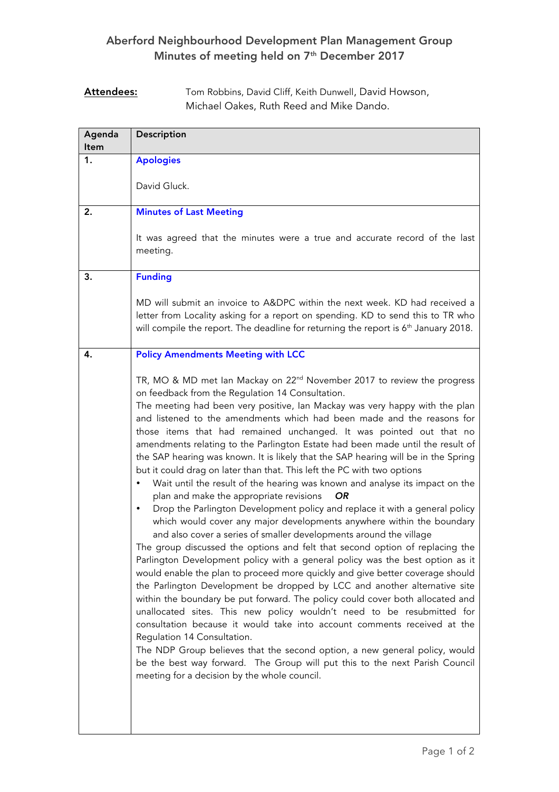## Aberford Neighbourhood Development Plan Management Group Minutes of meeting held on 7<sup>th</sup> December 2017

## Attendees: Tom Robbins, David Cliff, Keith Dunwell, David Howson, Michael Oakes, Ruth Reed and Mike Dando.

| Agenda<br>ltem | Description                                                                                                                                                                                                                                                                                                                                                                                                                                                                                                                                                                                                                                                                                                                                                                                                                                                                                                                                                                                                                                                                                                                                                                                                                                                                                                                                                                                                                                                                                                                                                                                                                                                                                                                                                                                                                  |
|----------------|------------------------------------------------------------------------------------------------------------------------------------------------------------------------------------------------------------------------------------------------------------------------------------------------------------------------------------------------------------------------------------------------------------------------------------------------------------------------------------------------------------------------------------------------------------------------------------------------------------------------------------------------------------------------------------------------------------------------------------------------------------------------------------------------------------------------------------------------------------------------------------------------------------------------------------------------------------------------------------------------------------------------------------------------------------------------------------------------------------------------------------------------------------------------------------------------------------------------------------------------------------------------------------------------------------------------------------------------------------------------------------------------------------------------------------------------------------------------------------------------------------------------------------------------------------------------------------------------------------------------------------------------------------------------------------------------------------------------------------------------------------------------------------------------------------------------------|
| 1.             | <b>Apologies</b>                                                                                                                                                                                                                                                                                                                                                                                                                                                                                                                                                                                                                                                                                                                                                                                                                                                                                                                                                                                                                                                                                                                                                                                                                                                                                                                                                                                                                                                                                                                                                                                                                                                                                                                                                                                                             |
|                | David Gluck.                                                                                                                                                                                                                                                                                                                                                                                                                                                                                                                                                                                                                                                                                                                                                                                                                                                                                                                                                                                                                                                                                                                                                                                                                                                                                                                                                                                                                                                                                                                                                                                                                                                                                                                                                                                                                 |
| 2.             | <b>Minutes of Last Meeting</b>                                                                                                                                                                                                                                                                                                                                                                                                                                                                                                                                                                                                                                                                                                                                                                                                                                                                                                                                                                                                                                                                                                                                                                                                                                                                                                                                                                                                                                                                                                                                                                                                                                                                                                                                                                                               |
|                | It was agreed that the minutes were a true and accurate record of the last<br>meeting.                                                                                                                                                                                                                                                                                                                                                                                                                                                                                                                                                                                                                                                                                                                                                                                                                                                                                                                                                                                                                                                                                                                                                                                                                                                                                                                                                                                                                                                                                                                                                                                                                                                                                                                                       |
| 3.             | <b>Funding</b>                                                                                                                                                                                                                                                                                                                                                                                                                                                                                                                                                                                                                                                                                                                                                                                                                                                                                                                                                                                                                                                                                                                                                                                                                                                                                                                                                                                                                                                                                                                                                                                                                                                                                                                                                                                                               |
|                | MD will submit an invoice to A&DPC within the next week. KD had received a<br>letter from Locality asking for a report on spending. KD to send this to TR who<br>will compile the report. The deadline for returning the report is 6 <sup>th</sup> January 2018.                                                                                                                                                                                                                                                                                                                                                                                                                                                                                                                                                                                                                                                                                                                                                                                                                                                                                                                                                                                                                                                                                                                                                                                                                                                                                                                                                                                                                                                                                                                                                             |
| 4.             | <b>Policy Amendments Meeting with LCC</b>                                                                                                                                                                                                                                                                                                                                                                                                                                                                                                                                                                                                                                                                                                                                                                                                                                                                                                                                                                                                                                                                                                                                                                                                                                                                                                                                                                                                                                                                                                                                                                                                                                                                                                                                                                                    |
|                | TR, MO & MD met Ian Mackay on 22 <sup>nd</sup> November 2017 to review the progress<br>on feedback from the Regulation 14 Consultation.<br>The meeting had been very positive, Ian Mackay was very happy with the plan<br>and listened to the amendments which had been made and the reasons for<br>those items that had remained unchanged. It was pointed out that no<br>amendments relating to the Parlington Estate had been made until the result of<br>the SAP hearing was known. It is likely that the SAP hearing will be in the Spring<br>but it could drag on later than that. This left the PC with two options<br>Wait until the result of the hearing was known and analyse its impact on the<br>٠<br>plan and make the appropriate revisions<br><b>OR</b><br>Drop the Parlington Development policy and replace it with a general policy<br>٠<br>which would cover any major developments anywhere within the boundary<br>and also cover a series of smaller developments around the village<br>The group discussed the options and felt that second option of replacing the<br>Parlington Development policy with a general policy was the best option as it<br>would enable the plan to proceed more quickly and give better coverage should<br>the Parlington Development be dropped by LCC and another alternative site<br>within the boundary be put forward. The policy could cover both allocated and<br>unallocated sites. This new policy wouldn't need to be resubmitted for<br>consultation because it would take into account comments received at the<br>Regulation 14 Consultation.<br>The NDP Group believes that the second option, a new general policy, would<br>be the best way forward. The Group will put this to the next Parish Council<br>meeting for a decision by the whole council. |